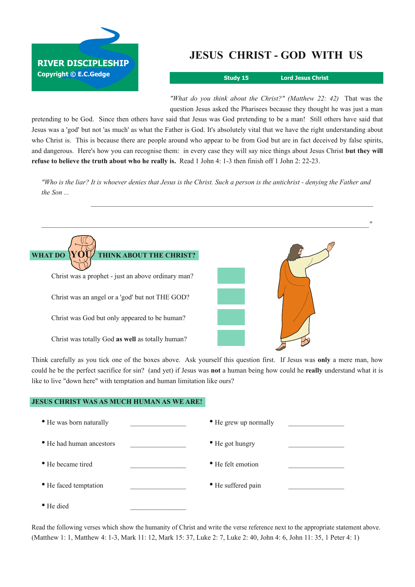

## **JESUS CHRIST GOD WITH US**

**Study 15 Lord Jesus Christ**

*"What do you think about the Christ?" (Matthew 22: 42)* That was the question Jesus asked the Pharisees because they thought he was just a man

pretending to be God. Since then others have said that Jesus was God pretending to be a man! Still others have said that Jesus was a 'god' but not 'as much' as what the Father is God. It's absolutely vital that we have the right understanding about who Christ is. This is because there are people around who appear to be from God but are in fact deceived by false spirits, and dangerous. Here's how you can recognise them: in every case they will say nice things about Jesus Christ **but they will refuse to believe the truth about who he really is.** Read 1 John 4: 13 then finish off 1 John 2: 2223.

"Who is the liar? It is whoever denies that Jesus is the Christ. Such a person is the antichrist - denying the Father and *the Son ...*



Think carefully as you tick one of the boxes above. Ask yourself this question first. If Jesus was **only** a mere man, how could he be the perfect sacrifice for sin? (and yet) if Jesus was **not** a human being how could he **really** understand what it is like to live "down here" with temptation and human limitation like ours?

## **JESUS CHRIST WAS AS MUCH HUMAN AS WE ARE!**

| • He was born naturally  | • He grew up normally |  |
|--------------------------|-----------------------|--|
| • He had human ancestors | • He got hungry       |  |
| • He became tired        | • He felt emotion     |  |
| • He faced temptation    | • He suffered pain    |  |
| • He died                |                       |  |

Read the following verses which show the humanity of Christ and write the verse reference next to the appropriate statement above. (Matthew 1: 1, Matthew 4: 1-3, Mark 11: 12, Mark 15: 37, Luke 2: 7, Luke 2: 40, John 4: 6, John 11: 35, 1 Peter 4: 1)